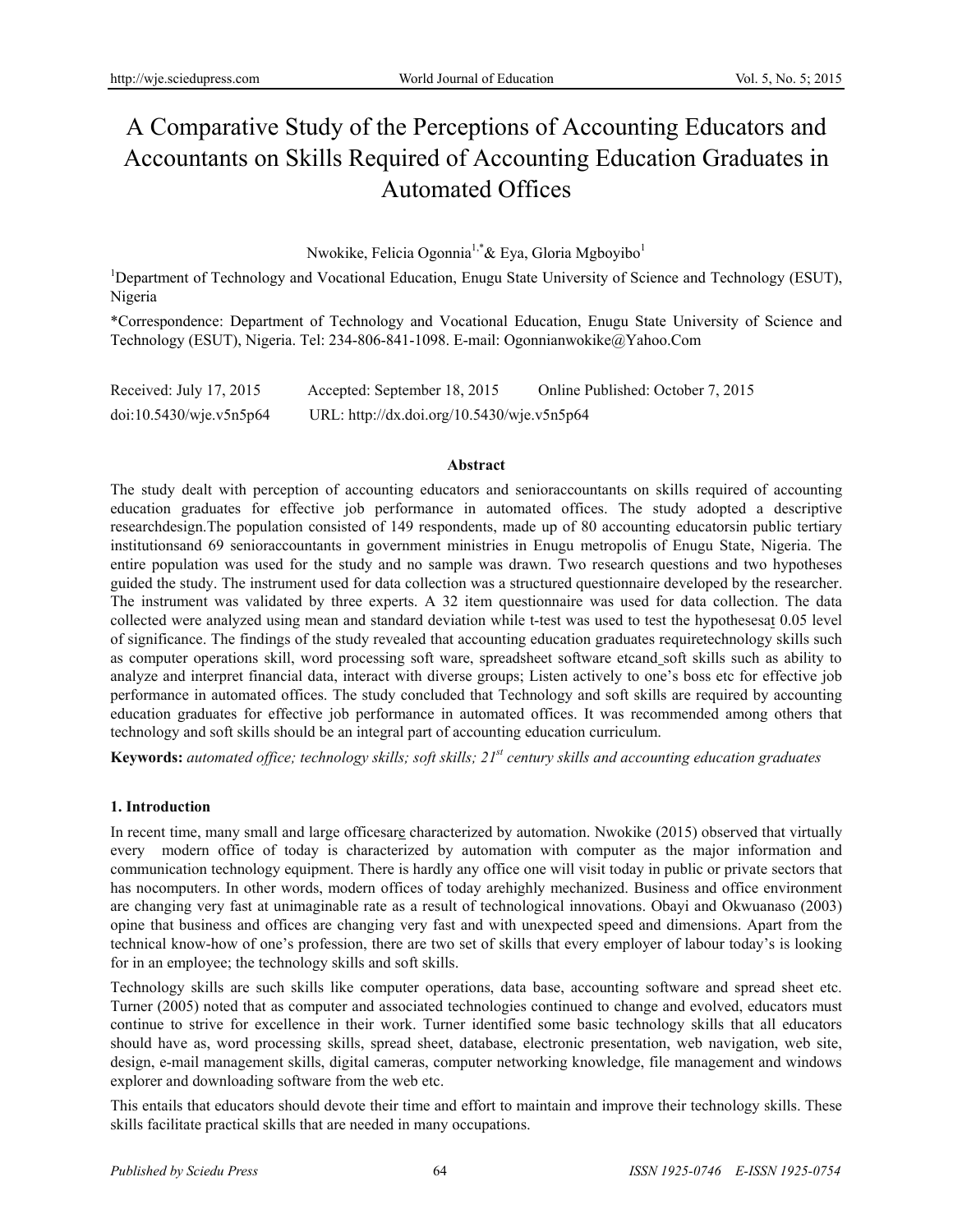# A Comparative Study of the Perceptions of Accounting Educators and Accountants on Skills Required of Accounting Education Graduates in Automated Offices

Nwokike, Felicia Ogonnia<sup>1,\*</sup> & Eya, Gloria Mgboyibo<sup>1</sup>

<sup>1</sup>Department of Technology and Vocational Education, Enugu State University of Science and Technology (ESUT), Nigeria

\*Correspondence: Department of Technology and Vocational Education, Enugu State University of Science and Technology (ESUT), Nigeria. Tel: 234-806-841-1098. E-mail: Ogonnianwokike@Yahoo.Com

Received: July 17, 2015 Accepted: September 18, 2015 Online Published: October 7, 2015 doi:10.5430/wje.v5n5p64 URL: http://dx.doi.org/10.5430/wje.v5n5p64

#### **Abstract**

The study dealt with perception of accounting educators and senioraccountants on skills required of accounting education graduates for effective job performance in automated offices. The study adopted a descriptive researchdesign.The population consisted of 149 respondents, made up of 80 accounting educatorsin public tertiary institutionsand 69 senioraccountants in government ministries in Enugu metropolis of Enugu State, Nigeria. The entire population was used for the study and no sample was drawn. Two research questions and two hypotheses guided the study. The instrument used for data collection was a structured questionnaire developed by the researcher. The instrument was validated by three experts. A 32 item questionnaire was used for data collection. The data collected were analyzed using mean and standard deviation while t-test was used to test the hypothesesat 0.05 level of significance. The findings of the study revealed that accounting education graduates requiretechnology skills such as computer operations skill, word processing soft ware, spreadsheet software etcand soft skills such as ability to analyze and interpret financial data, interact with diverse groups; Listen actively to one's boss etc for effective job performance in automated offices. The study concluded that Technology and soft skills are required by accounting education graduates for effective job performance in automated offices. It was recommended among others that technology and soft skills should be an integral part of accounting education curriculum.

**Keywords:** *automated office; technology skills; soft skills; 21<sup>st</sup> century skills and accounting education graduates* 

# **1. Introduction**

In recent time, many small and large officesare characterized by automation. Nwokike (2015) observed that virtually every modern office of today is characterized by automation with computer as the major information and communication technology equipment. There is hardly any office one will visit today in public or private sectors that has nocomputers. In other words, modern offices of today arehighly mechanized. Business and office environment are changing very fast at unimaginable rate as a result of technological innovations. Obayi and Okwuanaso (2003) opine that business and offices are changing very fast and with unexpected speed and dimensions. Apart from the technical know-how of one's profession, there are two set of skills that every employer of labour today's is looking for in an employee; the technology skills and soft skills.

Technology skills are such skills like computer operations, data base, accounting software and spread sheet etc. Turner (2005) noted that as computer and associated technologies continued to change and evolved, educators must continue to strive for excellence in their work. Turner identified some basic technology skills that all educators should have as, word processing skills, spread sheet, database, electronic presentation, web navigation, web site, design, e-mail management skills, digital cameras, computer networking knowledge, file management and windows explorer and downloading software from the web etc.

This entails that educators should devote their time and effort to maintain and improve their technology skills. These skills facilitate practical skills that are needed in many occupations.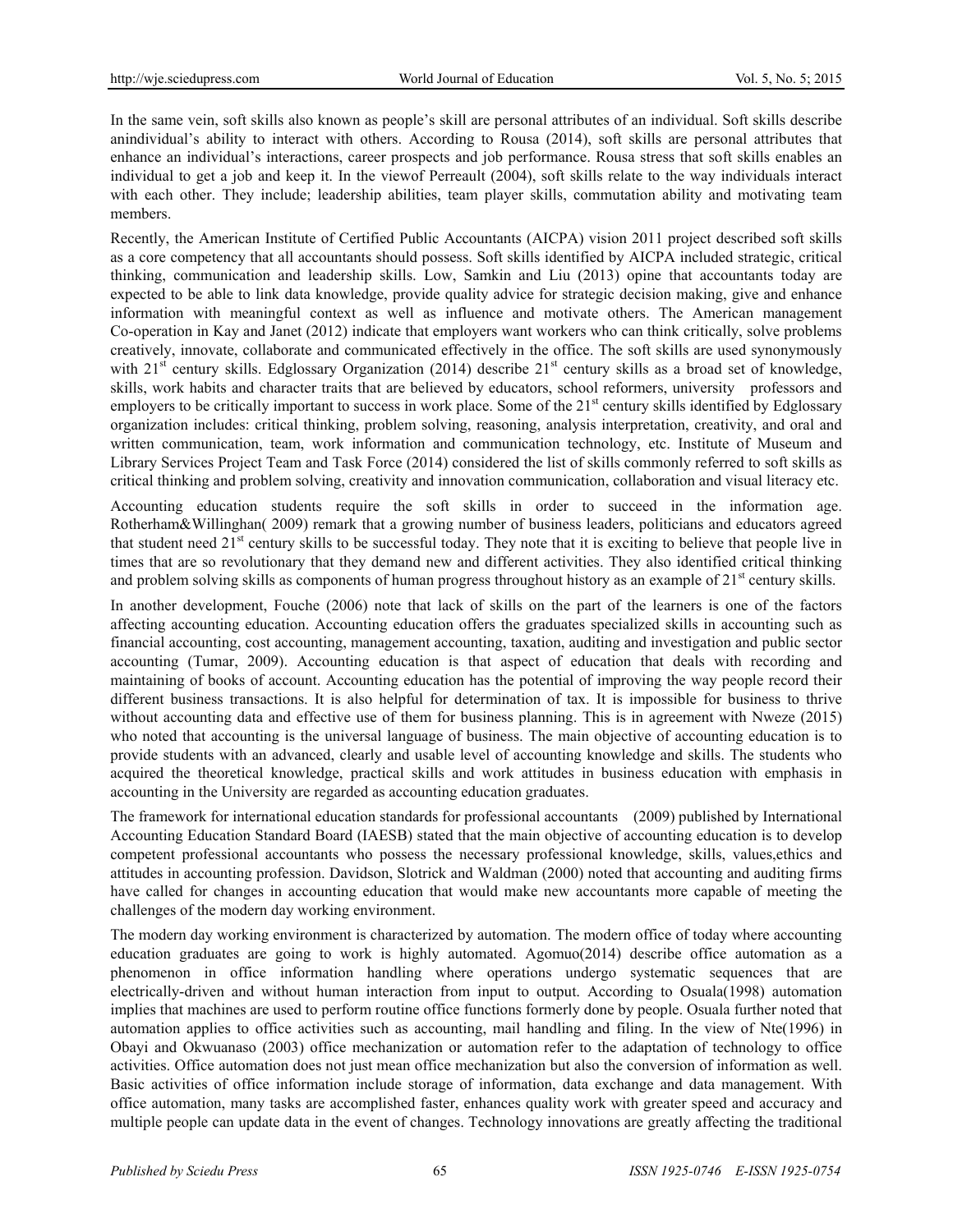In the same vein, soft skills also known as people's skill are personal attributes of an individual. Soft skills describe anindividual's ability to interact with others. According to Rousa (2014), soft skills are personal attributes that enhance an individual's interactions, career prospects and job performance. Rousa stress that soft skills enables an individual to get a job and keep it. In the viewof Perreault (2004), soft skills relate to the way individuals interact with each other. They include; leadership abilities, team player skills, commutation ability and motivating team members.

Recently, the American Institute of Certified Public Accountants (AICPA) vision 2011 project described soft skills as a core competency that all accountants should possess. Soft skills identified by AICPA included strategic, critical thinking, communication and leadership skills. Low, Samkin and Liu (2013) opine that accountants today are expected to be able to link data knowledge, provide quality advice for strategic decision making, give and enhance information with meaningful context as well as influence and motivate others. The American management Co-operation in Kay and Janet (2012) indicate that employers want workers who can think critically, solve problems creatively, innovate, collaborate and communicated effectively in the office. The soft skills are used synonymously with  $21<sup>st</sup>$  century skills. Edglossary Organization (2014) describe  $21<sup>st</sup>$  century skills as a broad set of knowledge, skills, work habits and character traits that are believed by educators, school reformers, university professors and employers to be critically important to success in work place. Some of the  $21<sup>st</sup>$  century skills identified by Edglossary organization includes: critical thinking, problem solving, reasoning, analysis interpretation, creativity, and oral and written communication, team, work information and communication technology, etc. Institute of Museum and Library Services Project Team and Task Force (2014) considered the list of skills commonly referred to soft skills as critical thinking and problem solving, creativity and innovation communication, collaboration and visual literacy etc.

Accounting education students require the soft skills in order to succeed in the information age. Rotherham&Willinghan( 2009) remark that a growing number of business leaders, politicians and educators agreed that student need 21<sup>st</sup> century skills to be successful today. They note that it is exciting to believe that people live in times that are so revolutionary that they demand new and different activities. They also identified critical thinking and problem solving skills as components of human progress throughout history as an example of  $21<sup>st</sup>$  century skills.

In another development, Fouche (2006) note that lack of skills on the part of the learners is one of the factors affecting accounting education. Accounting education offers the graduates specialized skills in accounting such as financial accounting, cost accounting, management accounting, taxation, auditing and investigation and public sector accounting (Tumar, 2009). Accounting education is that aspect of education that deals with recording and maintaining of books of account. Accounting education has the potential of improving the way people record their different business transactions. It is also helpful for determination of tax. It is impossible for business to thrive without accounting data and effective use of them for business planning. This is in agreement with Nweze (2015) who noted that accounting is the universal language of business. The main objective of accounting education is to provide students with an advanced, clearly and usable level of accounting knowledge and skills. The students who acquired the theoretical knowledge, practical skills and work attitudes in business education with emphasis in accounting in the University are regarded as accounting education graduates.

The framework for international education standards for professional accountants (2009) published by International Accounting Education Standard Board (IAESB) stated that the main objective of accounting education is to develop competent professional accountants who possess the necessary professional knowledge, skills, values,ethics and attitudes in accounting profession. Davidson, Slotrick and Waldman (2000) noted that accounting and auditing firms have called for changes in accounting education that would make new accountants more capable of meeting the challenges of the modern day working environment.

The modern day working environment is characterized by automation. The modern office of today where accounting education graduates are going to work is highly automated. Agomuo(2014) describe office automation as a phenomenon in office information handling where operations undergo systematic sequences that are electrically-driven and without human interaction from input to output. According to Osuala(1998) automation implies that machines are used to perform routine office functions formerly done by people. Osuala further noted that automation applies to office activities such as accounting, mail handling and filing. In the view of Nte(1996) in Obayi and Okwuanaso (2003) office mechanization or automation refer to the adaptation of technology to office activities. Office automation does not just mean office mechanization but also the conversion of information as well. Basic activities of office information include storage of information, data exchange and data management. With office automation, many tasks are accomplished faster, enhances quality work with greater speed and accuracy and multiple people can update data in the event of changes. Technology innovations are greatly affecting the traditional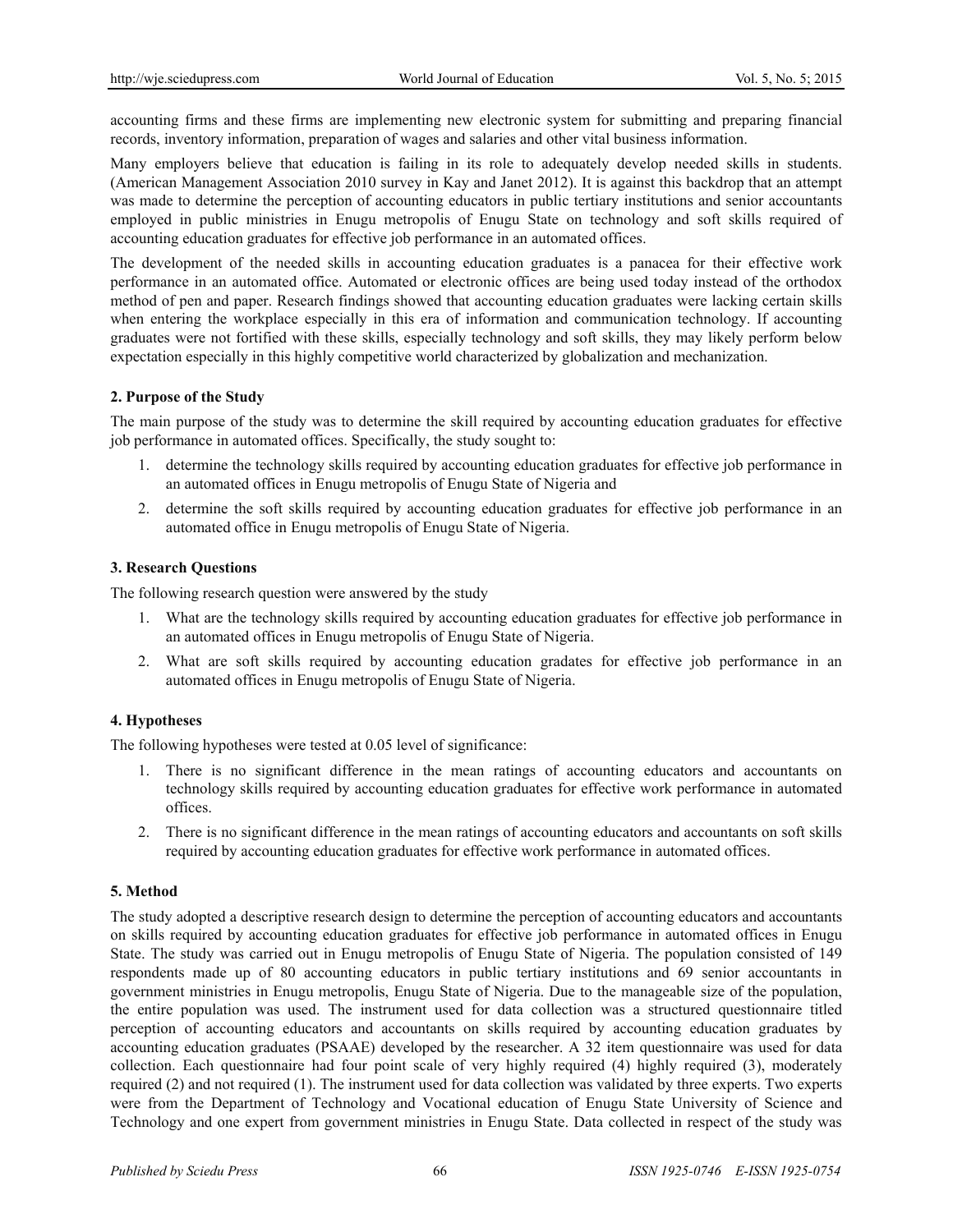accounting firms and these firms are implementing new electronic system for submitting and preparing financial records, inventory information, preparation of wages and salaries and other vital business information.

Many employers believe that education is failing in its role to adequately develop needed skills in students. (American Management Association 2010 survey in Kay and Janet 2012). It is against this backdrop that an attempt was made to determine the perception of accounting educators in public tertiary institutions and senior accountants employed in public ministries in Enugu metropolis of Enugu State on technology and soft skills required of accounting education graduates for effective job performance in an automated offices.

The development of the needed skills in accounting education graduates is a panacea for their effective work performance in an automated office. Automated or electronic offices are being used today instead of the orthodox method of pen and paper. Research findings showed that accounting education graduates were lacking certain skills when entering the workplace especially in this era of information and communication technology. If accounting graduates were not fortified with these skills, especially technology and soft skills, they may likely perform below expectation especially in this highly competitive world characterized by globalization and mechanization.

# **2. Purpose of the Study**

The main purpose of the study was to determine the skill required by accounting education graduates for effective job performance in automated offices. Specifically, the study sought to:

- 1. determine the technology skills required by accounting education graduates for effective job performance in an automated offices in Enugu metropolis of Enugu State of Nigeria and
- 2. determine the soft skills required by accounting education graduates for effective job performance in an automated office in Enugu metropolis of Enugu State of Nigeria.

# **3. Research Questions**

The following research question were answered by the study

- 1. What are the technology skills required by accounting education graduates for effective job performance in an automated offices in Enugu metropolis of Enugu State of Nigeria.
- 2. What are soft skills required by accounting education gradates for effective job performance in an automated offices in Enugu metropolis of Enugu State of Nigeria.

# **4. Hypotheses**

The following hypotheses were tested at 0.05 level of significance:

- 1. There is no significant difference in the mean ratings of accounting educators and accountants on technology skills required by accounting education graduates for effective work performance in automated offices.
- 2. There is no significant difference in the mean ratings of accounting educators and accountants on soft skills required by accounting education graduates for effective work performance in automated offices.

# **5. Method**

The study adopted a descriptive research design to determine the perception of accounting educators and accountants on skills required by accounting education graduates for effective job performance in automated offices in Enugu State. The study was carried out in Enugu metropolis of Enugu State of Nigeria. The population consisted of 149 respondents made up of 80 accounting educators in public tertiary institutions and 69 senior accountants in government ministries in Enugu metropolis, Enugu State of Nigeria. Due to the manageable size of the population, the entire population was used. The instrument used for data collection was a structured questionnaire titled perception of accounting educators and accountants on skills required by accounting education graduates by accounting education graduates (PSAAE) developed by the researcher. A 32 item questionnaire was used for data collection. Each questionnaire had four point scale of very highly required (4) highly required (3), moderately required (2) and not required (1). The instrument used for data collection was validated by three experts. Two experts were from the Department of Technology and Vocational education of Enugu State University of Science and Technology and one expert from government ministries in Enugu State. Data collected in respect of the study was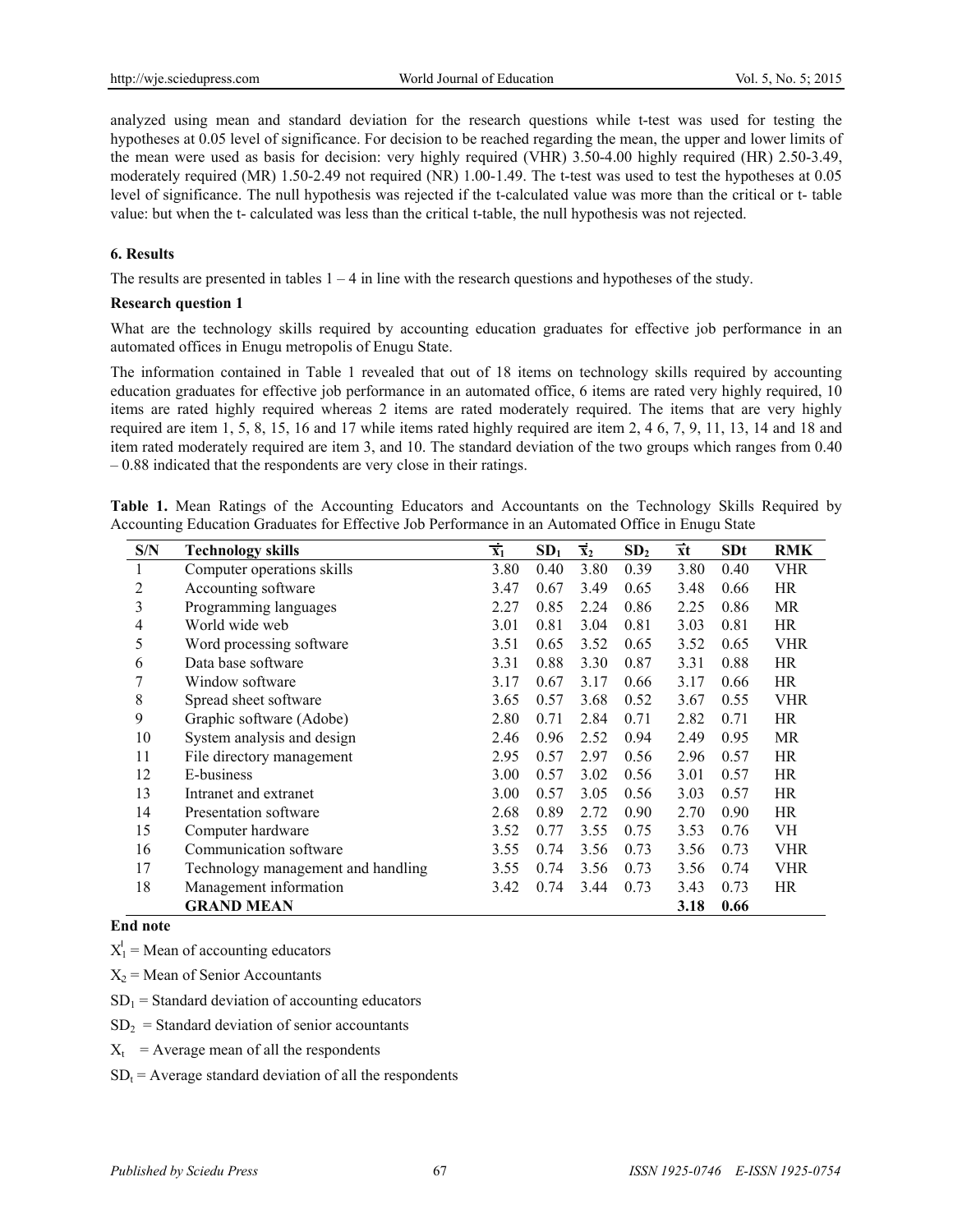analyzed using mean and standard deviation for the research questions while t-test was used for testing the hypotheses at 0.05 level of significance. For decision to be reached regarding the mean, the upper and lower limits of the mean were used as basis for decision: very highly required (VHR) 3.50-4.00 highly required (HR) 2.50-3.49, moderately required (MR) 1.50-2.49 not required (NR) 1.00-1.49. The t-test was used to test the hypotheses at 0.05 level of significance. The null hypothesis was rejected if the t-calculated value was more than the critical or t- table value: but when the t- calculated was less than the critical t-table, the null hypothesis was not rejected.

# **6. Results**

The results are presented in tables  $1 - 4$  in line with the research questions and hypotheses of the study.

#### **Research question 1**

What are the technology skills required by accounting education graduates for effective job performance in an automated offices in Enugu metropolis of Enugu State.

The information contained in Table 1 revealed that out of 18 items on technology skills required by accounting education graduates for effective job performance in an automated office, 6 items are rated very highly required, 10 items are rated highly required whereas 2 items are rated moderately required. The items that are very highly required are item 1, 5, 8, 15, 16 and 17 while items rated highly required are item 2, 4 6, 7, 9, 11, 13, 14 and 18 and item rated moderately required are item 3, and 10. The standard deviation of the two groups which ranges from 0.40 – 0.88 indicated that the respondents are very close in their ratings.

**Table 1.** Mean Ratings of the Accounting Educators and Accountants on the Technology Skills Required by Accounting Education Graduates for Effective Job Performance in an Automated Office in Enugu State

| S/N | <b>Technology skills</b>           | $\dot{\overline{\mathbf{x}}}_1$ | SD <sub>1</sub> | $\vec{x}_2$ | SD <sub>2</sub> | $\overline{\mathbf{x}}$ t | <b>SDt</b> | <b>RMK</b> |
|-----|------------------------------------|---------------------------------|-----------------|-------------|-----------------|---------------------------|------------|------------|
| 1   | Computer operations skills         | 3.80                            | 0.40            | 3.80        | 0.39            | 3.80                      | 0.40       | <b>VHR</b> |
| 2   | Accounting software                | 3.47                            | 0.67            | 3.49        | 0.65            | 3.48                      | 0.66       | HR         |
| 3   | Programming languages              | 2.27                            | 0.85            | 2.24        | 0.86            | 2.25                      | 0.86       | <b>MR</b>  |
| 4   | World wide web                     | 3.01                            | 0.81            | 3.04        | 0.81            | 3.03                      | 0.81       | HR.        |
| 5   | Word processing software           | 3.51                            | 0.65            | 3.52        | 0.65            | 3.52                      | 0.65       | <b>VHR</b> |
| 6   | Data base software                 | 3.31                            | 0.88            | 3.30        | 0.87            | 3.31                      | 0.88       | HR         |
| 7   | Window software                    | 3.17                            | 0.67            | 3.17        | 0.66            | 3.17                      | 0.66       | HR         |
| 8   | Spread sheet software              | 3.65                            | 0.57            | 3.68        | 0.52            | 3.67                      | 0.55       | <b>VHR</b> |
| 9   | Graphic software (Adobe)           | 2.80                            | 0.71            | 2.84        | 0.71            | 2.82                      | 0.71       | HR         |
| 10  | System analysis and design         | 2.46                            | 0.96            | 2.52        | 0.94            | 2.49                      | 0.95       | MR         |
| 11  | File directory management          | 2.95                            | 0.57            | 2.97        | 0.56            | 2.96                      | 0.57       | HR         |
| 12  | E-business                         | 3.00                            | 0.57            | 3.02        | 0.56            | 3.01                      | 0.57       | HR         |
| 13  | Intranet and extranet              | 3.00                            | 0.57            | 3.05        | 0.56            | 3.03                      | 0.57       | HR         |
| 14  | Presentation software              | 2.68                            | 0.89            | 2.72        | 0.90            | 2.70                      | 0.90       | HR         |
| 15  | Computer hardware                  | 3.52                            | 0.77            | 3.55        | 0.75            | 3.53                      | 0.76       | VH         |
| 16  | Communication software             | 3.55                            | 0.74            | 3.56        | 0.73            | 3.56                      | 0.73       | <b>VHR</b> |
| 17  | Technology management and handling | 3.55                            | 0.74            | 3.56        | 0.73            | 3.56                      | 0.74       | <b>VHR</b> |
| 18  | Management information             | 3.42                            | 0.74            | 3.44        | 0.73            | 3.43                      | 0.73       | HR         |
|     | <b>GRAND MEAN</b>                  |                                 |                 |             |                 | 3.18                      | 0.66       |            |

# **End note**

 $X_1$  = Mean of accounting educators

 $X_2$  = Mean of Senior Accountants

 $SD<sub>1</sub>$  = Standard deviation of accounting educators

 $SD<sub>2</sub> = Standard deviation of senior accounts$ 

 $X_t$  = Average mean of all the respondents

 $SD_t$  = Average standard deviation of all the respondents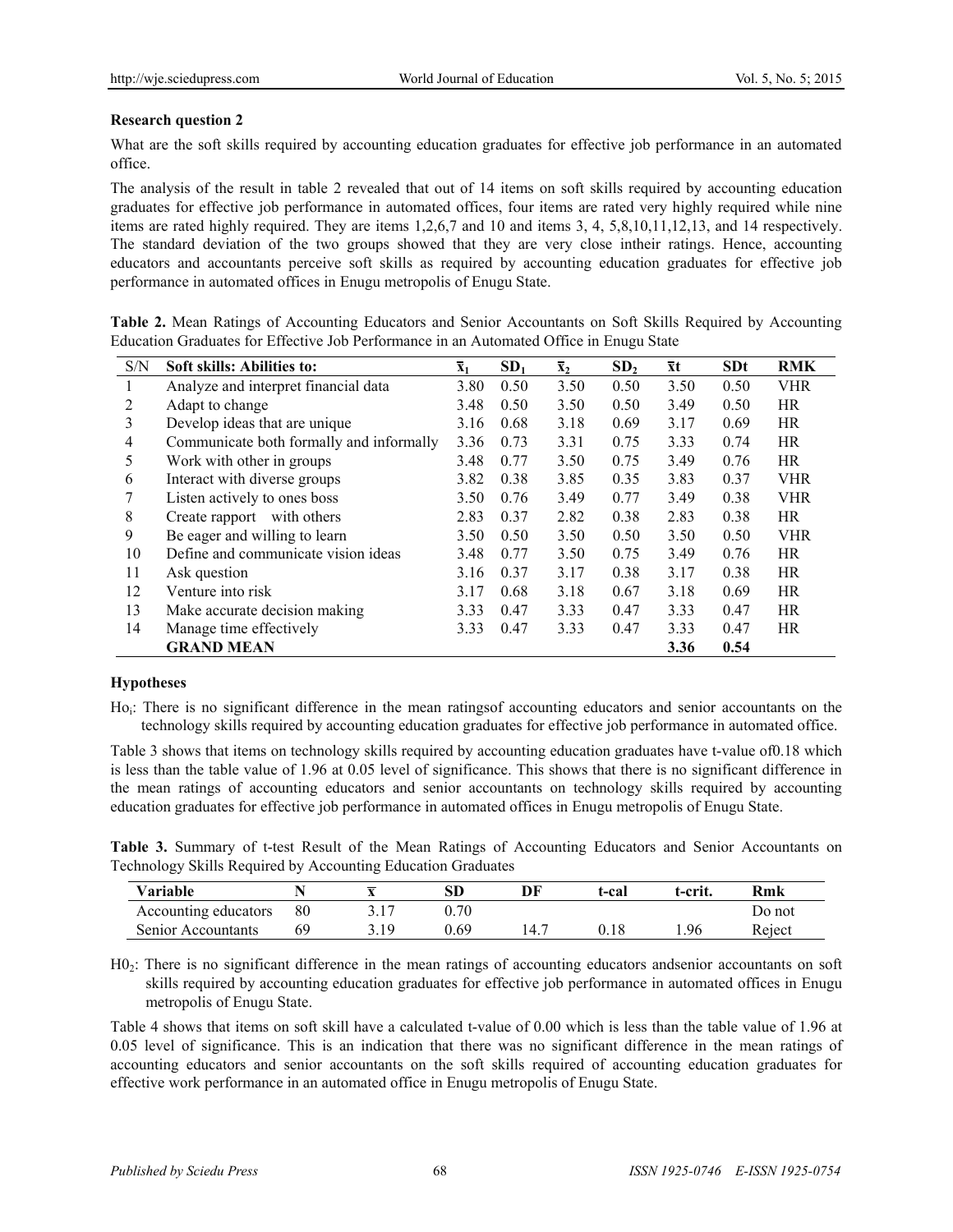# **Research question 2**

What are the soft skills required by accounting education graduates for effective job performance in an automated office.

The analysis of the result in table 2 revealed that out of 14 items on soft skills required by accounting education graduates for effective job performance in automated offices, four items are rated very highly required while nine items are rated highly required. They are items 1,2,6,7 and 10 and items 3, 4, 5,8,10,11,12,13, and 14 respectively. The standard deviation of the two groups showed that they are very close intheir ratings. Hence, accounting educators and accountants perceive soft skills as required by accounting education graduates for effective job performance in automated offices in Enugu metropolis of Enugu State.

**Table 2.** Mean Ratings of Accounting Educators and Senior Accountants on Soft Skills Required by Accounting Education Graduates for Effective Job Performance in an Automated Office in Enugu State

| S/N | <b>Soft skills: Abilities to:</b>        | $\overline{\mathbf{x}}_1$ | SD <sub>1</sub> | $\bar{x}_2$ | SD <sub>2</sub> | $\bar{x}t$ | <b>SDt</b> | <b>RMK</b> |
|-----|------------------------------------------|---------------------------|-----------------|-------------|-----------------|------------|------------|------------|
| 1   | Analyze and interpret financial data     | 3.80                      | 0.50            | 3.50        | 0.50            | 3.50       | 0.50       | <b>VHR</b> |
| 2   | Adapt to change                          | 3.48                      | 0.50            | 3.50        | 0.50            | 3.49       | 0.50       | <b>HR</b>  |
| 3   | Develop ideas that are unique            | 3.16                      | 0.68            | 3.18        | 0.69            | 3.17       | 0.69       | <b>HR</b>  |
| 4   | Communicate both formally and informally | 3.36                      | 0.73            | 3.31        | 0.75            | 3.33       | 0.74       | <b>HR</b>  |
| 5   | Work with other in groups                | 3.48                      | 0.77            | 3.50        | 0.75            | 3.49       | 0.76       | <b>HR</b>  |
| 6   | Interact with diverse groups             | 3.82                      | 0.38            | 3.85        | 0.35            | 3.83       | 0.37       | <b>VHR</b> |
|     | Listen actively to ones boss             | 3.50                      | 0.76            | 3.49        | 0.77            | 3.49       | 0.38       | <b>VHR</b> |
| 8   | Create rapport with others               | 2.83                      | 0.37            | 2.82        | 0.38            | 2.83       | 0.38       | <b>HR</b>  |
| 9   | Be eager and willing to learn            | 3.50                      | 0.50            | 3.50        | 0.50            | 3.50       | 0.50       | <b>VHR</b> |
| 10  | Define and communicate vision ideas      | 3.48                      | 0.77            | 3.50        | 0.75            | 3.49       | 0.76       | <b>HR</b>  |
| 11  | Ask question                             | 3.16                      | 0.37            | 3.17        | 0.38            | 3.17       | 0.38       | <b>HR</b>  |
| 12  | Venture into risk                        | 3.17                      | 0.68            | 3.18        | 0.67            | 3.18       | 0.69       | <b>HR</b>  |
| 13  | Make accurate decision making            | 3.33                      | 0.47            | 3.33        | 0.47            | 3.33       | 0.47       | <b>HR</b>  |
| 14  | Manage time effectively                  | 3.33                      | 0.47            | 3.33        | 0.47            | 3.33       | 0.47       | <b>HR</b>  |
|     | <b>GRAND MEAN</b>                        |                           |                 |             |                 | 3.36       | 0.54       |            |

# **Hypotheses**

Ho<sub>i</sub>: There is no significant difference in the mean ratingsof accounting educators and senior accountants on the technology skills required by accounting education graduates for effective job performance in automated office.

Table 3 shows that items on technology skills required by accounting education graduates have t-value of0.18 which is less than the table value of 1.96 at 0.05 level of significance. This shows that there is no significant difference in the mean ratings of accounting educators and senior accountants on technology skills required by accounting education graduates for effective job performance in automated offices in Enugu metropolis of Enugu State.

**Table 3.** Summary of t-test Result of the Mean Ratings of Accounting Educators and Senior Accountants on Technology Skills Required by Accounting Education Graduates

| Variable                  |    | _   | SD   | DF   | t-cal | t-crit. | Rmk    |
|---------------------------|----|-----|------|------|-------|---------|--------|
| Accounting educators      | 80 |     | 0.70 |      |       |         | Do not |
| <b>Senior Accountants</b> | 69 | 1 Q | ).69 | 14.1 | 0.18  | . 96    | Reject |

H02: There is no significant difference in the mean ratings of accounting educators andsenior accountants on soft skills required by accounting education graduates for effective job performance in automated offices in Enugu metropolis of Enugu State.

Table 4 shows that items on soft skill have a calculated t-value of 0.00 which is less than the table value of 1.96 at 0.05 level of significance. This is an indication that there was no significant difference in the mean ratings of accounting educators and senior accountants on the soft skills required of accounting education graduates for effective work performance in an automated office in Enugu metropolis of Enugu State.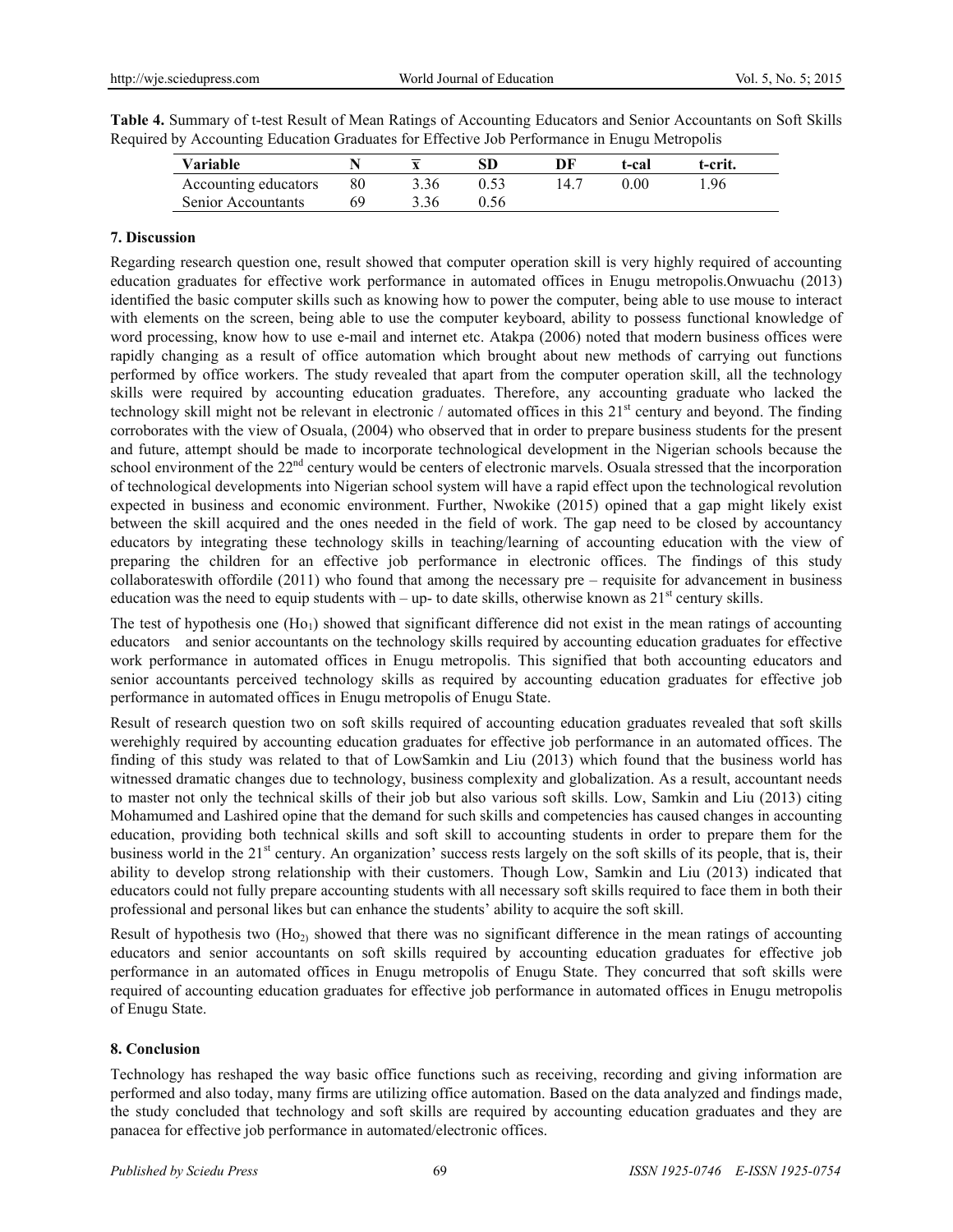**Table 4.** Summary of t-test Result of Mean Ratings of Accounting Educators and Senior Accountants on Soft Skills Required by Accounting Education Graduates for Effective Job Performance in Enugu Metropolis

| <b>Variable</b>      |    |      |       | DF              | t-cal | t-crit. |
|----------------------|----|------|-------|-----------------|-------|---------|
| Accounting educators | 80 | 3.36 |       | 14 <sup>7</sup> | 0 OO  | -96     |
| Senior Accountants   | 69 | 36., | .).56 |                 |       |         |

#### **7. Discussion**

Regarding research question one, result showed that computer operation skill is very highly required of accounting education graduates for effective work performance in automated offices in Enugu metropolis.Onwuachu (2013) identified the basic computer skills such as knowing how to power the computer, being able to use mouse to interact with elements on the screen, being able to use the computer keyboard, ability to possess functional knowledge of word processing, know how to use e-mail and internet etc. Atakpa (2006) noted that modern business offices were rapidly changing as a result of office automation which brought about new methods of carrying out functions performed by office workers. The study revealed that apart from the computer operation skill, all the technology skills were required by accounting education graduates. Therefore, any accounting graduate who lacked the technology skill might not be relevant in electronic / automated offices in this 21<sup>st</sup> century and beyond. The finding corroborates with the view of Osuala, (2004) who observed that in order to prepare business students for the present and future, attempt should be made to incorporate technological development in the Nigerian schools because the school environment of the 22<sup>nd</sup> century would be centers of electronic marvels. Osuala stressed that the incorporation of technological developments into Nigerian school system will have a rapid effect upon the technological revolution expected in business and economic environment. Further, Nwokike (2015) opined that a gap might likely exist between the skill acquired and the ones needed in the field of work. The gap need to be closed by accountancy educators by integrating these technology skills in teaching/learning of accounting education with the view of preparing the children for an effective job performance in electronic offices. The findings of this study collaborateswith offordile (2011) who found that among the necessary pre – requisite for advancement in business education was the need to equip students with – up- to date skills, otherwise known as  $21^{st}$  century skills.

The test of hypothesis one  $(Ho<sub>1</sub>)$  showed that significant difference did not exist in the mean ratings of accounting educators and senior accountants on the technology skills required by accounting education graduates for effective work performance in automated offices in Enugu metropolis. This signified that both accounting educators and senior accountants perceived technology skills as required by accounting education graduates for effective job performance in automated offices in Enugu metropolis of Enugu State.

Result of research question two on soft skills required of accounting education graduates revealed that soft skills werehighly required by accounting education graduates for effective job performance in an automated offices. The finding of this study was related to that of LowSamkin and Liu (2013) which found that the business world has witnessed dramatic changes due to technology, business complexity and globalization. As a result, accountant needs to master not only the technical skills of their job but also various soft skills. Low, Samkin and Liu (2013) citing Mohamumed and Lashired opine that the demand for such skills and competencies has caused changes in accounting education, providing both technical skills and soft skill to accounting students in order to prepare them for the business world in the  $21<sup>st</sup>$  century. An organization' success rests largely on the soft skills of its people, that is, their ability to develop strong relationship with their customers. Though Low, Samkin and Liu (2013) indicated that educators could not fully prepare accounting students with all necessary soft skills required to face them in both their professional and personal likes but can enhance the students' ability to acquire the soft skill.

Result of hypothesis two (Ho<sub>2)</sub> showed that there was no significant difference in the mean ratings of accounting educators and senior accountants on soft skills required by accounting education graduates for effective job performance in an automated offices in Enugu metropolis of Enugu State. They concurred that soft skills were required of accounting education graduates for effective job performance in automated offices in Enugu metropolis of Enugu State.

# **8. Conclusion**

Technology has reshaped the way basic office functions such as receiving, recording and giving information are performed and also today, many firms are utilizing office automation. Based on the data analyzed and findings made, the study concluded that technology and soft skills are required by accounting education graduates and they are panacea for effective job performance in automated/electronic offices.